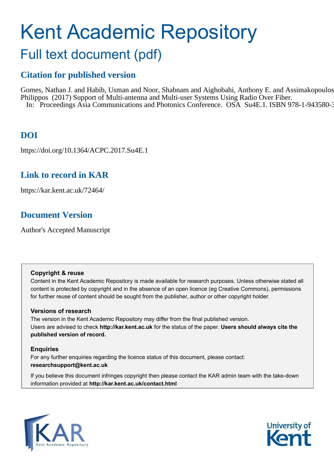# Kent Academic Repository

## Full text document (pdf)

## **Citation for published version**

Gomes, Nathan J. and Habib, Usman and Noor, Shabnam and Aighobahi, Anthony E. and Assimakopoulos, Philippos (2017) Support of Multi-antenna and Multi-user Systems Using Radio Over Fiber. In: Proceedings Asia Communications and Photonics Conference. OSA Su4E.1. ISBN 978-1-943580-3

## **DOI**

https://doi.org/10.1364/ACPC.2017.Su4E.1

### **Link to record in KAR**

https://kar.kent.ac.uk/72464/

## **Document Version**

Author's Accepted Manuscript

#### **Copyright & reuse**

Content in the Kent Academic Repository is made available for research purposes. Unless otherwise stated all content is protected by copyright and in the absence of an open licence (eg Creative Commons), permissions for further reuse of content should be sought from the publisher, author or other copyright holder.

#### **Versions of research**

The version in the Kent Academic Repository may differ from the final published version. Users are advised to check **http://kar.kent.ac.uk** for the status of the paper. **Users should always cite the published version of record.**

#### **Enquiries**

For any further enquiries regarding the licence status of this document, please contact: **researchsupport@kent.ac.uk**

If you believe this document infringes copyright then please contact the KAR admin team with the take-down information provided at **http://kar.kent.ac.uk/contact.html**



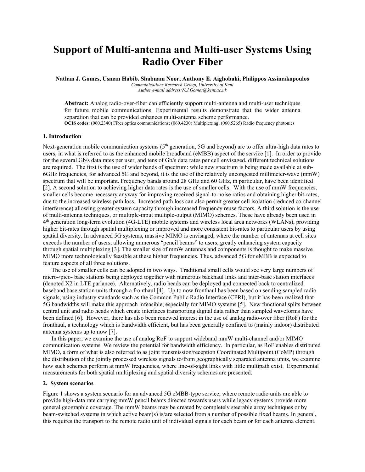## **Support of Multi-antenna and Multi-user Systems Using Radio Over Fiber**

**Nathan J. Gomes, Usman Habib. Shabnam Noor, Anthony E. Aighobahi, Philippos Assimakopoulos**  *Communications Research Group, University of Kent* 

*Author e-mail address:N.J.Gomes@kent.ac.uk* 

**Abstract:** Analog radio-over-fiber can efficiently support multi-antenna and multi-user techniques for future mobile communications. Experimental results demonstrate that the wider antenna separation that can be provided enhances multi-antenna scheme performance. **OCIS codes:** (060.2340) Fiber optics communications; (060.4230) Multiplexing; (060.5265) Radio frequency photonics

#### **1. Introduction**

Next-generation mobile communication systems (5<sup>th</sup> generation, 5G and beyond) are to offer ultra-high data rates to users, in what is referred to as the enhanced mobile broadband (eMBB) aspect of the service [1]. In order to provide for the several Gb/s data rates per user, and tens of Gb/s data rates per cell envisaged, different technical solutions are required. The first is the use of wider bands of spectrum: while new spectrum is being made available at sub-6GHz frequencies, for advanced 5G and beyond, it is the use of the relatively uncongested millimeter-wave (mmW) spectrum that will be important. Frequency bands around 28 GHz and 60 GHz, in particular, have been identified [2]. A second solution to achieving higher data rates is the use of smaller cells. With the use of mmW frequencies, smaller cells become necessary anyway for improving received signal-to-noise ratios and obtaining higher bit-rates, due to the increased wireless path loss. Increased path loss can also permit greater cell isolation (reduced co-channel interference) allowing greater system capacity through increased frequency reuse factors. A third solution is the use of multi-antenna techniques, or multiple-input multiple-output (MIMO) schemes. These have already been used in 4<sup>th</sup> generation long-term evolution (4G-LTE) mobile systems and wireless local area networks (WLANs), providing higher bit-rates through spatial multiplexing or improved and more consistent bit-rates to particular users by using spatial diversity. In advanced 5G systems, massive MIMO is envisaged, where the number of antennas at cell sites exceeds the number of users, allowing numerous "pencil beams" to users, greatly enhancing system capacity through spatial multiplexing [3]. The smaller size of mmW antennas and components is thought to make massive MIMO more technologically feasible at these higher frequencies. Thus, advanced 5G for eMBB is expected to feature aspects of all three solutions.

The use of smaller cells can be adopted in two ways. Traditional small cells would see very large numbers of micro-/pico- base stations being deployed together with numerous backhaul links and inter-base station interfaces (denoted X2 in LTE parlance). Alternatively, radio heads can be deployed and connected back to centralized baseband base station units through a fronthaul [4]. Up to now fronthaul has been based on sending sampled radio signals, using industry standards such as the Common Public Radio Interface (CPRI), but it has been realized that 5G bandwidths will make this approach infeasible, especially for MIMO systems [5]. New functional splits between central unit and radio heads which create interfaces transporting digital data rather than sampled waveforms have been defined [6]. However, there has also been renewed interest in the use of analog radio-over fiber (RoF) for the fronthaul, a technology which is bandwidth efficient, but has been generally confined to (mainly indoor) distributed antenna systems up to now [7].

In this paper, we examine the use of analog RoF to support wideband mmW multi-channel and/or MIMO communication systems. We review the potential for bandwidth efficiency. In particular, as RoF enables distributed MIMO, a form of what is also referred to as joint transmission/reception Coordinated Multipoint (CoMP) through the distribution of the jointly processed wireless signals to/from geographically separated antenna units, we examine how such schemes perform at mmW frequencies, where line-of-sight links with little multipath exist. Experimental measurements for both spatial multiplexing and spatial diversity schemes are presented.

#### **2. System scenarios**

Figure 1 shows a system scenario for an advanced 5G eMBB-type service, where remote radio units are able to provide high-data rate carrying mmW pencil beams directed towards users while legacy systems provide more general geographic coverage. The mmW beams may be created by completely steerable array techniques or by beam-switched systems in which active beam(s) is/are selected from a number of possible fixed beams. In general, this requires the transport to the remote radio unit of individual signals for each beam or for each antenna element.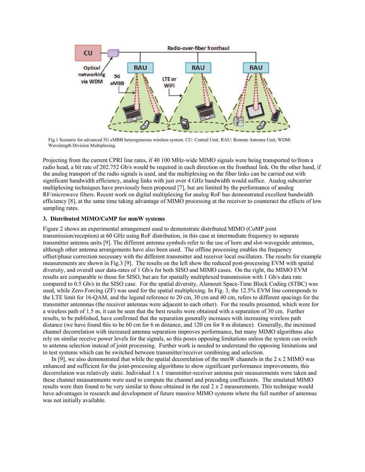

Fig.1 Scenario for advanced 5G eMBB heterogeneous wireless system. CU: Central Unit; RAU: Remote Antenna Unit; WDM: Wavelength Division Multiplexing.

Projecting from the current CPRI line rates, if 40 100 MHz-wide MIMO signals were being transported to/from a radio head, a bit rate of 202.752 Gb/s would be required in each direction on the fronthaul link. On the other hand, if the analog transport of the radio signals is used, and the multiplexing on the fiber links can be carried out with significant bandwidth efficiency, analog links with just over 4 GHz bandwidth would suffice. Analog subcarrier multiplexing techniques have previously been proposed [7], but are limited by the performance of analog RF/microwave filters. Recent work on digital multiplexing for analog RoF has demonstrated excellent bandwidth efficiency [8], at the same time taking advantage of MIMO processing at the receiver to counteract the effects of low sampling rates.

#### **3. Distributed MIMO/CoMP for mmW systems**

Figure 2 shows an experimental arrangement used to demonstrate distributed MIMO (CoMP joint transmission/reception) at 60 GHz using RoF distribution, in this case at intermediate frequency to separate transmitter antenna units [9]. The different antenna symbols refer to the use of horn and slot-waveguide antennas, although other antenna arrangements have also been used. The offline processing enables the frequency offset/phase correction necessary with the different transmitter and receiver local oscillators. The results for example measurements are shown in Fig.3 [9]. The results on the left show the reduced post-processing EVM with spatial diversity, and overall user data-rates of 1 Gb/s for both SISO and MIMO cases. On the right, the MIMO EVM results are comparable to those for SISO, but are for spatially multiplexed transmission with 1 Gb/s data rate compared to 0.5 Gb/s in the SISO case. For the spatial diversity, Alamouti Space-Time Block Coding (STBC) was used, while Zero-Forcing (ZF) was used for the spatial multiplexing. In Fig. 3, the 12.5% EVM line corresponds to the LTE limit for 16-QAM, and the legend reference to 20 cm, 30 cm and 40 cm, refers to different spacings for the transmitter antennnas (the receiver antennas were adjacent to each other). For the results presented, which were for a wireless path of 1.5 m, it can be seen that the best results were obtained with a separation of 30 cm. Further results, to be published, have confirmed that the separation generally increases with increasing wireless path distance (we have found this to be 60 cm for 6 m distance, and 120 cm for 8 m distance). Generally, the increased channel decorrelation with increased antenna separation improves performance, but many MIMO algorithms also rely on similar receive power levels for the signals, so this poses opposing limitations unless the system can switch to antenna selection instead of joint processing. Further work is needed to understand the opposing limitations and to test systems which can be switched between transmitter/receiver combining and selection.

In [9], we also demonstrated that while the spatial decorrelation of the mmW channels in the 2 x 2 MIMO was enhanced and sufficient for the joint-processing algorithms to show significant performance improvements, this decorrelation was relatively static. Individual 1 x 1 transmitter-receiver antenna pair measurements were taken and these channel measurements were used to compute the channel and precoding coefficients. The emulated MIMO results were then found to be very similar to those obtained in the real 2 x 2 measurements. This technique would have advantages in research and development of future massive MIMO systems where the full number of antennas was not initially available.